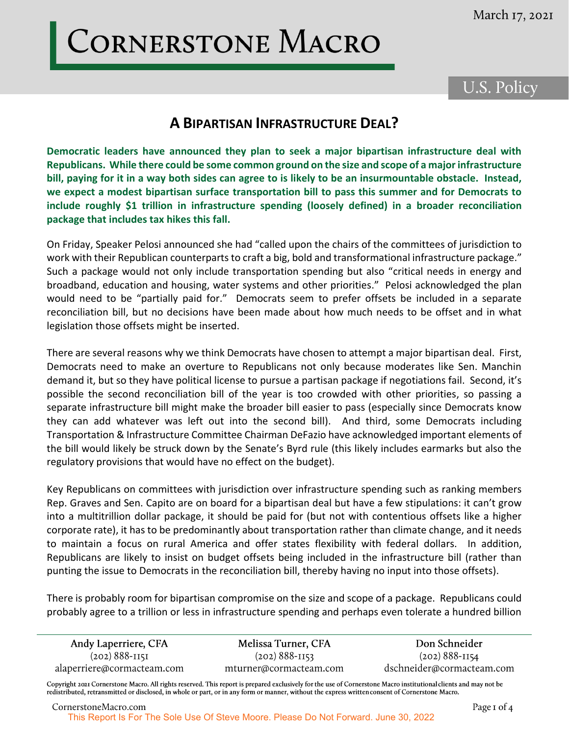## CORNERSTONE MACRO

## U.S. Policy

## **A BIPARTISAN INFRASTRUCTURE DEAL?**

**Democratic leaders have announced they plan to seek a major bipartisan infrastructure deal with Republicans. While there could be some common ground on the size and scope of a major infrastructure bill, paying for it in a way both sides can agree to is likely to be an insurmountable obstacle. Instead, we expect a modest bipartisan surface transportation bill to pass this summer and for Democrats to include roughly \$1 trillion in infrastructure spending (loosely defined) in a broader reconciliation package that includes tax hikes this fall.**

On Friday, Speaker Pelosi announced she had "called upon the chairs of the committees of jurisdiction to work with their Republican counterparts to craft a big, bold and transformational infrastructure package." Such a package would not only include transportation spending but also "critical needs in energy and broadband, education and housing, water systems and other priorities." Pelosi acknowledged the plan would need to be "partially paid for." Democrats seem to prefer offsets be included in a separate reconciliation bill, but no decisions have been made about how much needs to be offset and in what legislation those offsets might be inserted. hair

There are several reasons why we think Democrats have chosen to attempt a major bipartisan deal. First, Democrats need to make an overture to Republicans not only because moderates like Sen. Manchin demand it, but so they have political license to pursue a partisan package if negotiations fail. Second, it's possible the second reconciliation bill of the year is too crowded with other priorities, so passing a separate infrastructure bill might make the broader bill easier to pass (especially since Democrats know they can add whatever was left out into the second bill). And third, some Democrats including Transportation & Infrastructure Committee Chairman DeFazio have acknowledged important elements of the bill would likely be struck down by the Senate's Byrd rule (this likely includes earmarks but also the regulatory provisions that would have no effect on the budget).

Key Republicans on committees with jurisdiction over infrastructure spending such as ranking members Rep. Graves and Sen. Capito are on board for a bipartisan deal but have a few stipulations: it can't grow into a multitrillion dollar package, it should be paid for (but not with contentious offsets like a higher corporate rate), it has to be predominantly about transportation rather than climate change, and it needs to maintain a focus on rural America and offer states flexibility with federal dollars. In addition, Republicans are likely to insist on budget offsets being included in the infrastructure bill (rather than punting the issue to Democrats in the reconciliation bill, thereby having no input into those offsets).

There is probably room for bipartisan compromise on the size and scope of a package. Republicans could probably agree to a trillion or less in infrastructure spending and perhaps even tolerate a hundred billion

| Andy Laperriere, CFA       | Melissa Turner, CFA    | Don Schneider             |
|----------------------------|------------------------|---------------------------|
| $(202) 888 - 1151$         | $(202) 888 - 1153$     | $(202) 888 - 1154$        |
| alaperriere@cormacteam.com | mturner@cormacteam.com | dschneider@cormacteam.com |
|                            |                        |                           |

Copyright 2021 Cornerstone Macro. All rights reserved. This report is prepared exclusively for the use of Cornerstone Macro institutional clients and may not be redistributed, retransmitted or disclosed, in whole or part, or in any form or manner, without the express written consent of Cornerstone Macro.

CornerstoneMacro.com This Report Is For The Sole Use Of Steve Moore. Please Do Not Forward. June 30, 2022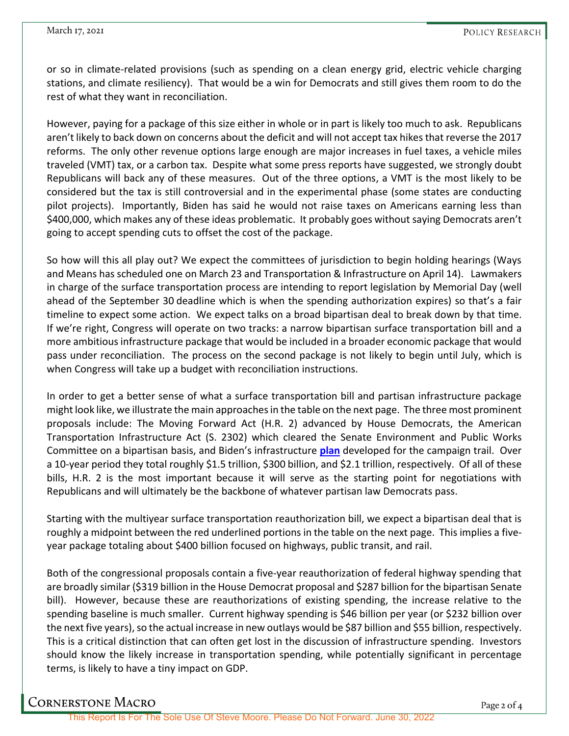U37664

U37664

or so in climate-related provisions (such as spending on a clean energy grid, electric vehicle charging stations, and climate resiliency). That would be a win for Democrats and still gives them room to do the rest of what they want in reconciliation.

However, paying for a package of this size either in whole or in part is likely too much to ask. Republicans aren't likely to back down on concerns about the deficit and will not accept tax hikes that reverse the 2017 reforms. The only other revenue options large enough are major increases in fuel taxes, a vehicle miles traveled (VMT) tax, or a carbon tax. Despite what some press reports have suggested, we strongly doubt Republicans will back any of these measures. Out of the three options, a VMT is the most likely to be considered but the tax is still controversial and in the experimental phase (some states are conducting pilot projects). Importantly, Biden has said he would not raise taxes on Americans earning less than \$400,000, which makes any of these ideas problematic. It probably goes without saying Democrats aren't going to accept spending cuts to offset the cost of the package.

So how will this all play out? We expect the committees of jurisdiction to begin holding hearings (Ways and Means has scheduled one on March 23 and Transportation & Infrastructure on April 14). Lawmakers in charge of the surface transportation process are intending to report legislation by Memorial Day (well ahead of the September 30 deadline which is when the spending authorization expires) so that's a fair timeline to expect some action. We expect talks on a broad bipartisan deal to break down by that time. If we're right, Congress will operate on two tracks: a narrow bipartisan surface transportation bill and a more ambitious infrastructure package that would be included in a broader economic package that would pass under reconciliation. The process on the second package is not likely to begin until July, which is when Congress will take up a budget with reconciliation instructions.  $\sim$   $\sim$ 

In order to get a better sense of what a surface transportation bill and partisan infrastructure package might look like, we illustrate the main approaches in the table on the next page. The three most prominent proposals include: The Moving Forward Act (H.R. 2) advanced by House Democrats, the American Transportation Infrastructure Act (S. 2302) which cleared the Senate Environment and Public Works Committee on a bipartisan basis, and Biden's infrastructure **[plan](https://joebiden.com/clean-energy/)** developed for the campaign trail. Over a 10-year period they total roughly \$1.5 trillion, \$300 billion, and \$2.1 trillion, respectively. Of all of these bills, H.R. 2 is the most important because it will serve as the starting point for negotiations with Republicans and will ultimately be the backbone of whatever partisan law Democrats pass.

Starting with the multiyear surface transportation reauthorization bill, we expect a bipartisan deal that is roughly a midpoint between the red underlined portions in the table on the next page. This implies a fiveyear package totaling about \$400 billion focused on highways, public transit, and rail.

Both of the congressional proposals contain a five-year reauthorization of federal highway spending that are broadly similar (\$319 billion in the House Democrat proposal and \$287 billion for the bipartisan Senate bill). However, because these are reauthorizations of existing spending, the increase relative to the spending baseline is much smaller. Current highway spending is \$46 billion per year (or \$232 billion over the next five years), so the actual increase in new outlays would be \$87 billion and \$55 billion, respectively. This is a critical distinction that can often get lost in the discussion of infrastructure spending. Investors should know the likely increase in transportation spending, while potentially significant in percentage terms, is likely to have a tiny impact on GDP.

Cornerstone Macro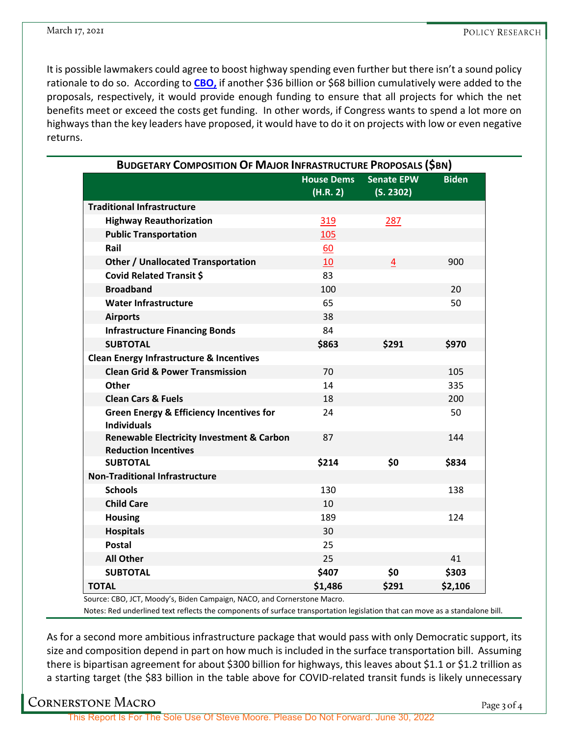U37664

It is possible lawmakers could agree to boost highway spending even further but there isn't a sound policy rationale to do so. According to **[CBO,](https://www.cbo.gov/publication/56346)** if another \$36 billion or \$68 billion cumulatively were added to the proposals, respectively, it would provide enough funding to ensure that all projects for which the net benefits meet or exceed the costs get funding. In other words, if Congress wants to spend a lot more on highways than the key leaders have proposed, it would have to do it on projects with low or even negative returns.

| <b>BUDGETARY COMPOSITION OF MAJOR INFRASTRUCTURE PROPOSALS (\$BN)</b>               |                               |                                |              |  |
|-------------------------------------------------------------------------------------|-------------------------------|--------------------------------|--------------|--|
|                                                                                     | <b>House Dems</b><br>(H.R. 2) | <b>Senate EPW</b><br>(S. 2302) | <b>Biden</b> |  |
| <b>Traditional Infrastructure</b>                                                   |                               |                                |              |  |
| <b>Highway Reauthorization</b>                                                      | 319                           | 287                            |              |  |
| <b>Public Transportation</b>                                                        | 105                           |                                |              |  |
| Rail                                                                                | 60                            |                                |              |  |
| <b>Other / Unallocated Transportation</b>                                           | 10                            | 4                              | 900          |  |
| <b>Covid Related Transit \$</b>                                                     | 83                            |                                |              |  |
| <b>Broadband</b>                                                                    | 100                           |                                | 20           |  |
| <b>Water Infrastructure</b>                                                         | 65                            |                                | 50           |  |
| <b>Airports</b>                                                                     | 38                            |                                |              |  |
| <b>Infrastructure Financing Bonds</b>                                               | 84                            |                                |              |  |
| <b>SUBTOTAL</b>                                                                     | \$863                         | \$291                          | \$970        |  |
| <b>Clean Energy Infrastructure &amp; Incentives</b>                                 |                               |                                |              |  |
| <b>Clean Grid &amp; Power Transmission</b>                                          | 70                            |                                | 105          |  |
| Other                                                                               | 14                            |                                | 335          |  |
| <b>Clean Cars &amp; Fuels</b>                                                       | 18                            |                                | 200          |  |
| <b>Green Energy &amp; Efficiency Incentives for</b><br><b>Individuals</b>           | 24                            |                                | 50           |  |
| <b>Renewable Electricity Investment &amp; Carbon</b><br><b>Reduction Incentives</b> | 87                            |                                | 144          |  |
| <b>SUBTOTAL</b>                                                                     | \$214                         | \$0                            | \$834        |  |
| <b>Non-Traditional Infrastructure</b>                                               |                               |                                |              |  |
| <b>Schools</b>                                                                      | 130                           |                                | 138          |  |
| <b>Child Care</b>                                                                   | 10                            |                                |              |  |
| <b>Housing</b>                                                                      | 189                           |                                | 124          |  |
| <b>Hospitals</b>                                                                    | 30                            |                                |              |  |
| <b>Postal</b>                                                                       | 25                            |                                |              |  |
| <b>All Other</b>                                                                    | 25                            |                                | 41           |  |
| <b>SUBTOTAL</b>                                                                     | \$407                         | \$0                            | \$303        |  |
| <b>TOTAL</b>                                                                        | \$1,486                       | \$291                          | \$2,106      |  |

Source: CBO, JCT, Moody's, Biden Campaign, NACO, and Cornerstone Macro.

Notes: Red underlined text reflects the components of surface transportation legislation that can move as a standalone bill.

As for a second more ambitious infrastructure package that would pass with only Democratic support, its size and composition depend in part on how much is included in the surface transportation bill. Assuming there is bipartisan agreement for about \$300 billion for highways, this leaves about \$1.1 or \$1.2 trillion as a starting target (the \$83 billion in the table above for COVID-related transit funds is likely unnecessary

## Cornerstone Macro

U37664

This Report Is For The Sole Use Of Steve Moore. Please Do Not Forward. June 30, 2022